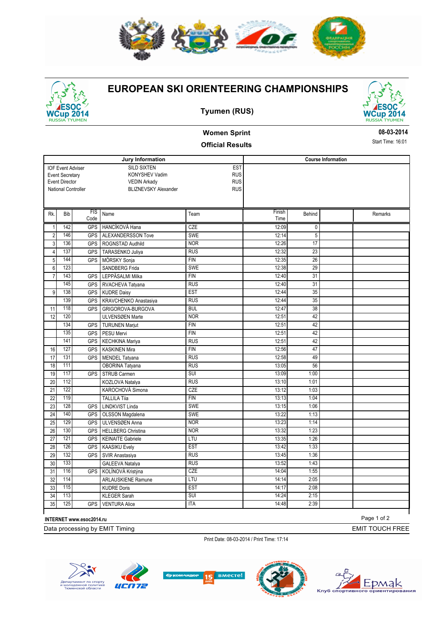

## **EUROPEAN SKI ORIENTEERING CHAMPIONSHIPS**



### **Tyumen (RUS)**



# **Women Sprint**

#### **Official Results**

**08-03-2014**

Start Time: 16:01

| <b>EST</b><br><b>SILD SIXTEN</b><br><b>IOF Event Adviser</b><br><b>RUS</b><br>KONYSHEV Vadim<br><b>Event Secretary</b><br><b>RUS</b><br><b>Event Director</b><br><b>VEDIN Arkady</b><br>National Controller<br><b>RUS</b><br><b>BLIZNEVSKY Alexander</b><br>FIS<br>Finish<br>Rk.<br>Bib<br>Name<br>Team<br>Remarks<br>Behind<br>Code<br>Time<br>142<br>CZE<br>12:09<br>$\mathbf{1}$<br><b>GPS</b><br><b>HANCÍKOVÁ Hana</b><br>$\mathbf{0}$<br>$\overline{2}$<br>146<br>ALEXANDERSSON Tove<br>5<br><b>GPS</b><br><b>SWE</b><br>12:14<br>136<br><b>NOR</b><br>12:26<br>17<br>3<br><b>GPS</b><br>ROGNSTAD Audhild<br>137<br>12:32<br>23<br><b>RUS</b><br>$\overline{4}$<br><b>GPS</b><br>TARASENKO Juliya<br>144<br>12:35<br>26<br>5<br><b>GPS</b><br>MÖRSKY Sonja<br><b>FIN</b><br>123<br>29<br>$6\phantom{.}$<br><b>SWE</b><br>12:38<br>SANDBERG Frida<br>$\overline{31}$<br>143<br>12:40<br>$\overline{7}$<br><b>GPS</b><br>LEPPÄSALMI Milka<br><b>FIN</b><br>145<br><b>RUS</b><br>12:40<br>31<br><b>GPS</b><br>RVACHEVA Tatyana<br>138<br>9<br><b>EST</b><br>12:44<br>35<br><b>GPS</b><br><b>KUDRE Daisy</b><br>$\overline{35}$<br>139<br>12:44<br><b>RUS</b><br>KRAVCHENKO Anastasiya<br><b>GPS</b><br>118<br>12:47<br>38<br>11<br><b>GPS</b><br>GRIGOROVA-BURGOVA<br><b>BUL</b><br>120<br>42<br><b>NOR</b><br>12:51<br>12<br>ULVENSØEN Marte<br>134<br>42<br><b>FIN</b><br>12:51<br><b>GPS</b><br><b>TURUNEN Marjut</b><br>135<br>42<br>GPS<br>PESU Mervi<br><b>FIN</b><br>12:51<br>141<br>42<br><b>RUS</b><br>12:51<br><b>GPS</b><br><b>KECHKINA Mariya</b><br>127<br>$\overline{47}$<br>16<br>GPS<br>12:56<br><b>KASKINEN Mira</b><br><b>FIN</b><br>17<br>131<br><b>GPS</b><br><b>RUS</b><br>12:58<br>49<br>MENDEL Tatyana<br>111<br>18<br><b>RUS</b><br>13:05<br>56<br>OBORINA Tatyana<br>117<br>SUI<br>13:09<br>1:00<br>19<br><b>GPS</b><br><b>STRUB Carmen</b><br>20<br>112<br><b>RUS</b><br>13:10<br>1:01<br>KOZLOVA Natalya<br>122<br>21<br>CZE<br>13:12<br>1:03<br>KAROCHOVÁ Simona<br>119<br>22<br><b>FIN</b><br>13:13<br>1:04<br><b>TALLILA Tija</b><br>128<br>23<br>GPS<br>LINDKVIST Linda<br><b>SWE</b><br>13:15<br>1:06<br>24<br>140<br>SWE<br>13:22<br>1:13<br><b>GPS</b><br>OLSSON Magdalena<br>129<br>25<br>13:23<br><b>GPS</b><br>ULVENSØEN Anna<br>1:14<br><b>NOR</b><br>130<br><b>NOR</b><br>13:32<br>1:23<br>26<br><b>GPS</b><br><b>HELLBERG Christina</b><br>121<br>27<br><b>GPS</b><br><b>KEINAITE Gabriele</b><br>1:26<br>LTU<br>13:35<br>126<br>13:42<br>1:33<br>28<br><b>EST</b><br><b>GPS</b><br><b>KAASIKU Evely</b><br>132<br>13:45<br>1:36<br>29<br><b>GPS</b><br><b>RUS</b><br><b>SVIR Anastasiya</b><br>133<br>30<br><b>RUS</b><br>13:52<br>1:43<br><b>GALEEVA Natalya</b><br>116<br>CZE<br>14:04<br>1:55<br>31<br>KOLÍNOVÁ Kristýna<br><b>GPS</b><br>114<br>2:05<br>32<br><b>ARLAUSKIENE Ramune</b><br>LTU<br>14:14<br>115<br><b>EST</b><br>14:17<br>2:08<br>33<br><b>KUDRE Doris</b><br>113<br>34<br>SUI<br>14:24<br>2:15<br><b>KLEGER Sarah</b> |  |  |  |                  |                           |  |  |  |  |
|--------------------------------------------------------------------------------------------------------------------------------------------------------------------------------------------------------------------------------------------------------------------------------------------------------------------------------------------------------------------------------------------------------------------------------------------------------------------------------------------------------------------------------------------------------------------------------------------------------------------------------------------------------------------------------------------------------------------------------------------------------------------------------------------------------------------------------------------------------------------------------------------------------------------------------------------------------------------------------------------------------------------------------------------------------------------------------------------------------------------------------------------------------------------------------------------------------------------------------------------------------------------------------------------------------------------------------------------------------------------------------------------------------------------------------------------------------------------------------------------------------------------------------------------------------------------------------------------------------------------------------------------------------------------------------------------------------------------------------------------------------------------------------------------------------------------------------------------------------------------------------------------------------------------------------------------------------------------------------------------------------------------------------------------------------------------------------------------------------------------------------------------------------------------------------------------------------------------------------------------------------------------------------------------------------------------------------------------------------------------------------------------------------------------------------------------------------------------------------------------------------------------------------------------------------------------------------------------------------------------------------------------------------------------------------------------------------------------------------------------------------------------------------------------------------------------------------------------------------------------------------------------------------------------------------------------------------------------------------------|--|--|--|------------------|---------------------------|--|--|--|--|
|                                                                                                                                                                                                                                                                                                                                                                                                                                                                                                                                                                                                                                                                                                                                                                                                                                                                                                                                                                                                                                                                                                                                                                                                                                                                                                                                                                                                                                                                                                                                                                                                                                                                                                                                                                                                                                                                                                                                                                                                                                                                                                                                                                                                                                                                                                                                                                                                                                                                                                                                                                                                                                                                                                                                                                                                                                                                                                                                                                                      |  |  |  | Jury Information | <b>Course Information</b> |  |  |  |  |
|                                                                                                                                                                                                                                                                                                                                                                                                                                                                                                                                                                                                                                                                                                                                                                                                                                                                                                                                                                                                                                                                                                                                                                                                                                                                                                                                                                                                                                                                                                                                                                                                                                                                                                                                                                                                                                                                                                                                                                                                                                                                                                                                                                                                                                                                                                                                                                                                                                                                                                                                                                                                                                                                                                                                                                                                                                                                                                                                                                                      |  |  |  |                  |                           |  |  |  |  |
|                                                                                                                                                                                                                                                                                                                                                                                                                                                                                                                                                                                                                                                                                                                                                                                                                                                                                                                                                                                                                                                                                                                                                                                                                                                                                                                                                                                                                                                                                                                                                                                                                                                                                                                                                                                                                                                                                                                                                                                                                                                                                                                                                                                                                                                                                                                                                                                                                                                                                                                                                                                                                                                                                                                                                                                                                                                                                                                                                                                      |  |  |  |                  |                           |  |  |  |  |
|                                                                                                                                                                                                                                                                                                                                                                                                                                                                                                                                                                                                                                                                                                                                                                                                                                                                                                                                                                                                                                                                                                                                                                                                                                                                                                                                                                                                                                                                                                                                                                                                                                                                                                                                                                                                                                                                                                                                                                                                                                                                                                                                                                                                                                                                                                                                                                                                                                                                                                                                                                                                                                                                                                                                                                                                                                                                                                                                                                                      |  |  |  |                  |                           |  |  |  |  |
|                                                                                                                                                                                                                                                                                                                                                                                                                                                                                                                                                                                                                                                                                                                                                                                                                                                                                                                                                                                                                                                                                                                                                                                                                                                                                                                                                                                                                                                                                                                                                                                                                                                                                                                                                                                                                                                                                                                                                                                                                                                                                                                                                                                                                                                                                                                                                                                                                                                                                                                                                                                                                                                                                                                                                                                                                                                                                                                                                                                      |  |  |  |                  |                           |  |  |  |  |
|                                                                                                                                                                                                                                                                                                                                                                                                                                                                                                                                                                                                                                                                                                                                                                                                                                                                                                                                                                                                                                                                                                                                                                                                                                                                                                                                                                                                                                                                                                                                                                                                                                                                                                                                                                                                                                                                                                                                                                                                                                                                                                                                                                                                                                                                                                                                                                                                                                                                                                                                                                                                                                                                                                                                                                                                                                                                                                                                                                                      |  |  |  |                  |                           |  |  |  |  |
|                                                                                                                                                                                                                                                                                                                                                                                                                                                                                                                                                                                                                                                                                                                                                                                                                                                                                                                                                                                                                                                                                                                                                                                                                                                                                                                                                                                                                                                                                                                                                                                                                                                                                                                                                                                                                                                                                                                                                                                                                                                                                                                                                                                                                                                                                                                                                                                                                                                                                                                                                                                                                                                                                                                                                                                                                                                                                                                                                                                      |  |  |  |                  |                           |  |  |  |  |
|                                                                                                                                                                                                                                                                                                                                                                                                                                                                                                                                                                                                                                                                                                                                                                                                                                                                                                                                                                                                                                                                                                                                                                                                                                                                                                                                                                                                                                                                                                                                                                                                                                                                                                                                                                                                                                                                                                                                                                                                                                                                                                                                                                                                                                                                                                                                                                                                                                                                                                                                                                                                                                                                                                                                                                                                                                                                                                                                                                                      |  |  |  |                  |                           |  |  |  |  |
|                                                                                                                                                                                                                                                                                                                                                                                                                                                                                                                                                                                                                                                                                                                                                                                                                                                                                                                                                                                                                                                                                                                                                                                                                                                                                                                                                                                                                                                                                                                                                                                                                                                                                                                                                                                                                                                                                                                                                                                                                                                                                                                                                                                                                                                                                                                                                                                                                                                                                                                                                                                                                                                                                                                                                                                                                                                                                                                                                                                      |  |  |  |                  |                           |  |  |  |  |
|                                                                                                                                                                                                                                                                                                                                                                                                                                                                                                                                                                                                                                                                                                                                                                                                                                                                                                                                                                                                                                                                                                                                                                                                                                                                                                                                                                                                                                                                                                                                                                                                                                                                                                                                                                                                                                                                                                                                                                                                                                                                                                                                                                                                                                                                                                                                                                                                                                                                                                                                                                                                                                                                                                                                                                                                                                                                                                                                                                                      |  |  |  |                  |                           |  |  |  |  |
|                                                                                                                                                                                                                                                                                                                                                                                                                                                                                                                                                                                                                                                                                                                                                                                                                                                                                                                                                                                                                                                                                                                                                                                                                                                                                                                                                                                                                                                                                                                                                                                                                                                                                                                                                                                                                                                                                                                                                                                                                                                                                                                                                                                                                                                                                                                                                                                                                                                                                                                                                                                                                                                                                                                                                                                                                                                                                                                                                                                      |  |  |  |                  |                           |  |  |  |  |
|                                                                                                                                                                                                                                                                                                                                                                                                                                                                                                                                                                                                                                                                                                                                                                                                                                                                                                                                                                                                                                                                                                                                                                                                                                                                                                                                                                                                                                                                                                                                                                                                                                                                                                                                                                                                                                                                                                                                                                                                                                                                                                                                                                                                                                                                                                                                                                                                                                                                                                                                                                                                                                                                                                                                                                                                                                                                                                                                                                                      |  |  |  |                  |                           |  |  |  |  |
|                                                                                                                                                                                                                                                                                                                                                                                                                                                                                                                                                                                                                                                                                                                                                                                                                                                                                                                                                                                                                                                                                                                                                                                                                                                                                                                                                                                                                                                                                                                                                                                                                                                                                                                                                                                                                                                                                                                                                                                                                                                                                                                                                                                                                                                                                                                                                                                                                                                                                                                                                                                                                                                                                                                                                                                                                                                                                                                                                                                      |  |  |  |                  |                           |  |  |  |  |
|                                                                                                                                                                                                                                                                                                                                                                                                                                                                                                                                                                                                                                                                                                                                                                                                                                                                                                                                                                                                                                                                                                                                                                                                                                                                                                                                                                                                                                                                                                                                                                                                                                                                                                                                                                                                                                                                                                                                                                                                                                                                                                                                                                                                                                                                                                                                                                                                                                                                                                                                                                                                                                                                                                                                                                                                                                                                                                                                                                                      |  |  |  |                  |                           |  |  |  |  |
|                                                                                                                                                                                                                                                                                                                                                                                                                                                                                                                                                                                                                                                                                                                                                                                                                                                                                                                                                                                                                                                                                                                                                                                                                                                                                                                                                                                                                                                                                                                                                                                                                                                                                                                                                                                                                                                                                                                                                                                                                                                                                                                                                                                                                                                                                                                                                                                                                                                                                                                                                                                                                                                                                                                                                                                                                                                                                                                                                                                      |  |  |  |                  |                           |  |  |  |  |
|                                                                                                                                                                                                                                                                                                                                                                                                                                                                                                                                                                                                                                                                                                                                                                                                                                                                                                                                                                                                                                                                                                                                                                                                                                                                                                                                                                                                                                                                                                                                                                                                                                                                                                                                                                                                                                                                                                                                                                                                                                                                                                                                                                                                                                                                                                                                                                                                                                                                                                                                                                                                                                                                                                                                                                                                                                                                                                                                                                                      |  |  |  |                  |                           |  |  |  |  |
|                                                                                                                                                                                                                                                                                                                                                                                                                                                                                                                                                                                                                                                                                                                                                                                                                                                                                                                                                                                                                                                                                                                                                                                                                                                                                                                                                                                                                                                                                                                                                                                                                                                                                                                                                                                                                                                                                                                                                                                                                                                                                                                                                                                                                                                                                                                                                                                                                                                                                                                                                                                                                                                                                                                                                                                                                                                                                                                                                                                      |  |  |  |                  |                           |  |  |  |  |
|                                                                                                                                                                                                                                                                                                                                                                                                                                                                                                                                                                                                                                                                                                                                                                                                                                                                                                                                                                                                                                                                                                                                                                                                                                                                                                                                                                                                                                                                                                                                                                                                                                                                                                                                                                                                                                                                                                                                                                                                                                                                                                                                                                                                                                                                                                                                                                                                                                                                                                                                                                                                                                                                                                                                                                                                                                                                                                                                                                                      |  |  |  |                  |                           |  |  |  |  |
|                                                                                                                                                                                                                                                                                                                                                                                                                                                                                                                                                                                                                                                                                                                                                                                                                                                                                                                                                                                                                                                                                                                                                                                                                                                                                                                                                                                                                                                                                                                                                                                                                                                                                                                                                                                                                                                                                                                                                                                                                                                                                                                                                                                                                                                                                                                                                                                                                                                                                                                                                                                                                                                                                                                                                                                                                                                                                                                                                                                      |  |  |  |                  |                           |  |  |  |  |
|                                                                                                                                                                                                                                                                                                                                                                                                                                                                                                                                                                                                                                                                                                                                                                                                                                                                                                                                                                                                                                                                                                                                                                                                                                                                                                                                                                                                                                                                                                                                                                                                                                                                                                                                                                                                                                                                                                                                                                                                                                                                                                                                                                                                                                                                                                                                                                                                                                                                                                                                                                                                                                                                                                                                                                                                                                                                                                                                                                                      |  |  |  |                  |                           |  |  |  |  |
|                                                                                                                                                                                                                                                                                                                                                                                                                                                                                                                                                                                                                                                                                                                                                                                                                                                                                                                                                                                                                                                                                                                                                                                                                                                                                                                                                                                                                                                                                                                                                                                                                                                                                                                                                                                                                                                                                                                                                                                                                                                                                                                                                                                                                                                                                                                                                                                                                                                                                                                                                                                                                                                                                                                                                                                                                                                                                                                                                                                      |  |  |  |                  |                           |  |  |  |  |
|                                                                                                                                                                                                                                                                                                                                                                                                                                                                                                                                                                                                                                                                                                                                                                                                                                                                                                                                                                                                                                                                                                                                                                                                                                                                                                                                                                                                                                                                                                                                                                                                                                                                                                                                                                                                                                                                                                                                                                                                                                                                                                                                                                                                                                                                                                                                                                                                                                                                                                                                                                                                                                                                                                                                                                                                                                                                                                                                                                                      |  |  |  |                  |                           |  |  |  |  |
|                                                                                                                                                                                                                                                                                                                                                                                                                                                                                                                                                                                                                                                                                                                                                                                                                                                                                                                                                                                                                                                                                                                                                                                                                                                                                                                                                                                                                                                                                                                                                                                                                                                                                                                                                                                                                                                                                                                                                                                                                                                                                                                                                                                                                                                                                                                                                                                                                                                                                                                                                                                                                                                                                                                                                                                                                                                                                                                                                                                      |  |  |  |                  |                           |  |  |  |  |
|                                                                                                                                                                                                                                                                                                                                                                                                                                                                                                                                                                                                                                                                                                                                                                                                                                                                                                                                                                                                                                                                                                                                                                                                                                                                                                                                                                                                                                                                                                                                                                                                                                                                                                                                                                                                                                                                                                                                                                                                                                                                                                                                                                                                                                                                                                                                                                                                                                                                                                                                                                                                                                                                                                                                                                                                                                                                                                                                                                                      |  |  |  |                  |                           |  |  |  |  |
|                                                                                                                                                                                                                                                                                                                                                                                                                                                                                                                                                                                                                                                                                                                                                                                                                                                                                                                                                                                                                                                                                                                                                                                                                                                                                                                                                                                                                                                                                                                                                                                                                                                                                                                                                                                                                                                                                                                                                                                                                                                                                                                                                                                                                                                                                                                                                                                                                                                                                                                                                                                                                                                                                                                                                                                                                                                                                                                                                                                      |  |  |  |                  |                           |  |  |  |  |
|                                                                                                                                                                                                                                                                                                                                                                                                                                                                                                                                                                                                                                                                                                                                                                                                                                                                                                                                                                                                                                                                                                                                                                                                                                                                                                                                                                                                                                                                                                                                                                                                                                                                                                                                                                                                                                                                                                                                                                                                                                                                                                                                                                                                                                                                                                                                                                                                                                                                                                                                                                                                                                                                                                                                                                                                                                                                                                                                                                                      |  |  |  |                  |                           |  |  |  |  |
|                                                                                                                                                                                                                                                                                                                                                                                                                                                                                                                                                                                                                                                                                                                                                                                                                                                                                                                                                                                                                                                                                                                                                                                                                                                                                                                                                                                                                                                                                                                                                                                                                                                                                                                                                                                                                                                                                                                                                                                                                                                                                                                                                                                                                                                                                                                                                                                                                                                                                                                                                                                                                                                                                                                                                                                                                                                                                                                                                                                      |  |  |  |                  |                           |  |  |  |  |
|                                                                                                                                                                                                                                                                                                                                                                                                                                                                                                                                                                                                                                                                                                                                                                                                                                                                                                                                                                                                                                                                                                                                                                                                                                                                                                                                                                                                                                                                                                                                                                                                                                                                                                                                                                                                                                                                                                                                                                                                                                                                                                                                                                                                                                                                                                                                                                                                                                                                                                                                                                                                                                                                                                                                                                                                                                                                                                                                                                                      |  |  |  |                  |                           |  |  |  |  |
|                                                                                                                                                                                                                                                                                                                                                                                                                                                                                                                                                                                                                                                                                                                                                                                                                                                                                                                                                                                                                                                                                                                                                                                                                                                                                                                                                                                                                                                                                                                                                                                                                                                                                                                                                                                                                                                                                                                                                                                                                                                                                                                                                                                                                                                                                                                                                                                                                                                                                                                                                                                                                                                                                                                                                                                                                                                                                                                                                                                      |  |  |  |                  |                           |  |  |  |  |
|                                                                                                                                                                                                                                                                                                                                                                                                                                                                                                                                                                                                                                                                                                                                                                                                                                                                                                                                                                                                                                                                                                                                                                                                                                                                                                                                                                                                                                                                                                                                                                                                                                                                                                                                                                                                                                                                                                                                                                                                                                                                                                                                                                                                                                                                                                                                                                                                                                                                                                                                                                                                                                                                                                                                                                                                                                                                                                                                                                                      |  |  |  |                  |                           |  |  |  |  |
|                                                                                                                                                                                                                                                                                                                                                                                                                                                                                                                                                                                                                                                                                                                                                                                                                                                                                                                                                                                                                                                                                                                                                                                                                                                                                                                                                                                                                                                                                                                                                                                                                                                                                                                                                                                                                                                                                                                                                                                                                                                                                                                                                                                                                                                                                                                                                                                                                                                                                                                                                                                                                                                                                                                                                                                                                                                                                                                                                                                      |  |  |  |                  |                           |  |  |  |  |
|                                                                                                                                                                                                                                                                                                                                                                                                                                                                                                                                                                                                                                                                                                                                                                                                                                                                                                                                                                                                                                                                                                                                                                                                                                                                                                                                                                                                                                                                                                                                                                                                                                                                                                                                                                                                                                                                                                                                                                                                                                                                                                                                                                                                                                                                                                                                                                                                                                                                                                                                                                                                                                                                                                                                                                                                                                                                                                                                                                                      |  |  |  |                  |                           |  |  |  |  |
|                                                                                                                                                                                                                                                                                                                                                                                                                                                                                                                                                                                                                                                                                                                                                                                                                                                                                                                                                                                                                                                                                                                                                                                                                                                                                                                                                                                                                                                                                                                                                                                                                                                                                                                                                                                                                                                                                                                                                                                                                                                                                                                                                                                                                                                                                                                                                                                                                                                                                                                                                                                                                                                                                                                                                                                                                                                                                                                                                                                      |  |  |  |                  |                           |  |  |  |  |
|                                                                                                                                                                                                                                                                                                                                                                                                                                                                                                                                                                                                                                                                                                                                                                                                                                                                                                                                                                                                                                                                                                                                                                                                                                                                                                                                                                                                                                                                                                                                                                                                                                                                                                                                                                                                                                                                                                                                                                                                                                                                                                                                                                                                                                                                                                                                                                                                                                                                                                                                                                                                                                                                                                                                                                                                                                                                                                                                                                                      |  |  |  |                  |                           |  |  |  |  |
|                                                                                                                                                                                                                                                                                                                                                                                                                                                                                                                                                                                                                                                                                                                                                                                                                                                                                                                                                                                                                                                                                                                                                                                                                                                                                                                                                                                                                                                                                                                                                                                                                                                                                                                                                                                                                                                                                                                                                                                                                                                                                                                                                                                                                                                                                                                                                                                                                                                                                                                                                                                                                                                                                                                                                                                                                                                                                                                                                                                      |  |  |  |                  |                           |  |  |  |  |
|                                                                                                                                                                                                                                                                                                                                                                                                                                                                                                                                                                                                                                                                                                                                                                                                                                                                                                                                                                                                                                                                                                                                                                                                                                                                                                                                                                                                                                                                                                                                                                                                                                                                                                                                                                                                                                                                                                                                                                                                                                                                                                                                                                                                                                                                                                                                                                                                                                                                                                                                                                                                                                                                                                                                                                                                                                                                                                                                                                                      |  |  |  |                  |                           |  |  |  |  |
|                                                                                                                                                                                                                                                                                                                                                                                                                                                                                                                                                                                                                                                                                                                                                                                                                                                                                                                                                                                                                                                                                                                                                                                                                                                                                                                                                                                                                                                                                                                                                                                                                                                                                                                                                                                                                                                                                                                                                                                                                                                                                                                                                                                                                                                                                                                                                                                                                                                                                                                                                                                                                                                                                                                                                                                                                                                                                                                                                                                      |  |  |  |                  |                           |  |  |  |  |
|                                                                                                                                                                                                                                                                                                                                                                                                                                                                                                                                                                                                                                                                                                                                                                                                                                                                                                                                                                                                                                                                                                                                                                                                                                                                                                                                                                                                                                                                                                                                                                                                                                                                                                                                                                                                                                                                                                                                                                                                                                                                                                                                                                                                                                                                                                                                                                                                                                                                                                                                                                                                                                                                                                                                                                                                                                                                                                                                                                                      |  |  |  |                  |                           |  |  |  |  |
|                                                                                                                                                                                                                                                                                                                                                                                                                                                                                                                                                                                                                                                                                                                                                                                                                                                                                                                                                                                                                                                                                                                                                                                                                                                                                                                                                                                                                                                                                                                                                                                                                                                                                                                                                                                                                                                                                                                                                                                                                                                                                                                                                                                                                                                                                                                                                                                                                                                                                                                                                                                                                                                                                                                                                                                                                                                                                                                                                                                      |  |  |  |                  |                           |  |  |  |  |
|                                                                                                                                                                                                                                                                                                                                                                                                                                                                                                                                                                                                                                                                                                                                                                                                                                                                                                                                                                                                                                                                                                                                                                                                                                                                                                                                                                                                                                                                                                                                                                                                                                                                                                                                                                                                                                                                                                                                                                                                                                                                                                                                                                                                                                                                                                                                                                                                                                                                                                                                                                                                                                                                                                                                                                                                                                                                                                                                                                                      |  |  |  |                  |                           |  |  |  |  |
|                                                                                                                                                                                                                                                                                                                                                                                                                                                                                                                                                                                                                                                                                                                                                                                                                                                                                                                                                                                                                                                                                                                                                                                                                                                                                                                                                                                                                                                                                                                                                                                                                                                                                                                                                                                                                                                                                                                                                                                                                                                                                                                                                                                                                                                                                                                                                                                                                                                                                                                                                                                                                                                                                                                                                                                                                                                                                                                                                                                      |  |  |  |                  |                           |  |  |  |  |
|                                                                                                                                                                                                                                                                                                                                                                                                                                                                                                                                                                                                                                                                                                                                                                                                                                                                                                                                                                                                                                                                                                                                                                                                                                                                                                                                                                                                                                                                                                                                                                                                                                                                                                                                                                                                                                                                                                                                                                                                                                                                                                                                                                                                                                                                                                                                                                                                                                                                                                                                                                                                                                                                                                                                                                                                                                                                                                                                                                                      |  |  |  |                  |                           |  |  |  |  |
| 125<br><b>ITA</b><br>14:48<br>2:39                                                                                                                                                                                                                                                                                                                                                                                                                                                                                                                                                                                                                                                                                                                                                                                                                                                                                                                                                                                                                                                                                                                                                                                                                                                                                                                                                                                                                                                                                                                                                                                                                                                                                                                                                                                                                                                                                                                                                                                                                                                                                                                                                                                                                                                                                                                                                                                                                                                                                                                                                                                                                                                                                                                                                                                                                                                                                                                                                   |  |  |  |                  |                           |  |  |  |  |
| 35<br><b>GPS</b><br><b>VENTURA Alice</b>                                                                                                                                                                                                                                                                                                                                                                                                                                                                                                                                                                                                                                                                                                                                                                                                                                                                                                                                                                                                                                                                                                                                                                                                                                                                                                                                                                                                                                                                                                                                                                                                                                                                                                                                                                                                                                                                                                                                                                                                                                                                                                                                                                                                                                                                                                                                                                                                                                                                                                                                                                                                                                                                                                                                                                                                                                                                                                                                             |  |  |  |                  |                           |  |  |  |  |

**INTERNET www.esoc2014.ru**

Data processing by EMIT Timing

Print Date: 08-03-2014 / Print Time: 17:14











Page 1 of 2

EMIT TOUCH FREE

Timing